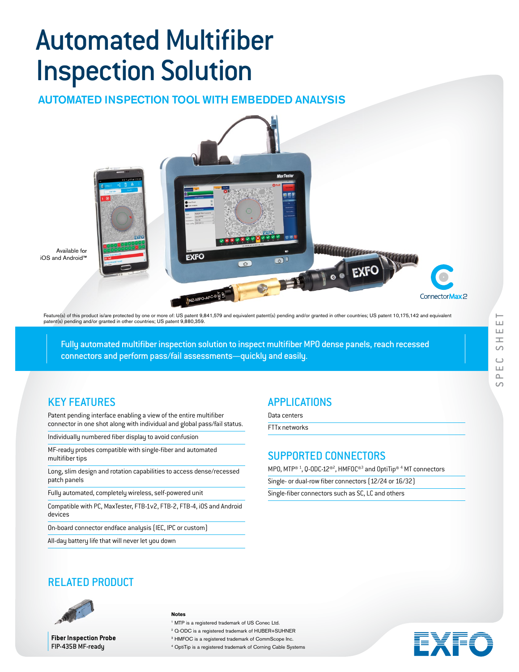# **Automated Multifiber** Inspection Solution

AUTOMATED INSPECTION TOOL WITH EMBEDDED ANALYSIS



Feature(s) of this product is/are protected by one or more of: US patent 9,841,579 and equivalent patent(s) pending and/or granted in other countries; US patent 10,175,142 and equivalent<br>patent(s) pending and/or granted in

Fully automated multifiber inspection solution to inspect multifiber MPO dense panels, reach recessed connectors and perform pass/fail assessments—quickly and easily.

## KEY FEATURES

Patent pending interface enabling a view of the entire multifiber connector in one shot along with individual and global pass/fail status.

Individually numbered fiber display to avoid confusion

MF-ready probes compatible with single-fiber and automated multifiber tips

Long, slim design and rotation capabilities to access dense/recessed patch panels

Fully automated, completely wireless, self-powered unit

Compatible with PC, MaxTester, FTB-1v2, FTB-2, FTB-4, iOS and Android devices

On-board connector endface analysis (IEC, IPC or custom)

All-day battery life that will never let you down

## APPLICATIONS

Data centers

FTTx networks

## SUPPORTED CONNECTORS

MPO, MTP® <sup>1</sup>, Q-ODC-12®<sup>2</sup>, HMFOC®<sup>3</sup> and OptiTip® <sup>4</sup> MT connectors

Single- or dual-row fiber connectors (12/24 or 16/32)

Single-fiber connectors such as SC, LC and others





**Fiber Inspection Probe** FIP-435B MF-ready

#### **Notes**

1 MTP is a registered trademark of US Conec Ltd. 2 Q-ODC is a registered trademark of HUBER+SUHNER

<sup>3</sup> HMFOC is a registered trademark of CommScope Inc.

4 OptiTip is a registered trademark of Corning Cable Systems

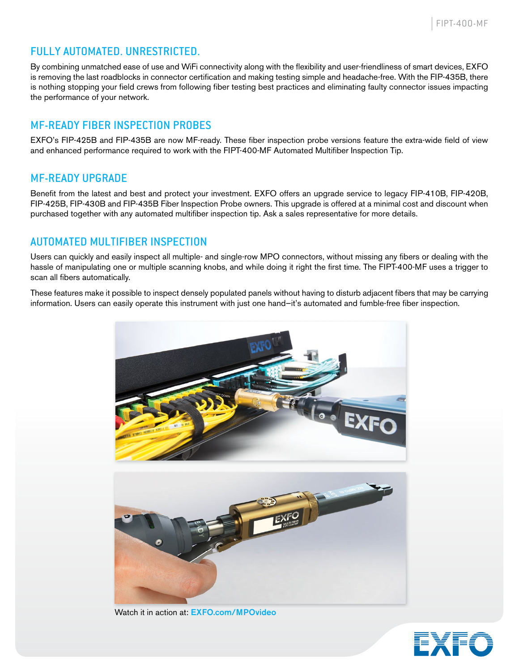## FULLY AUTOMATED. UNRESTRICTED.

By combining unmatched ease of use and WiFi connectivity along with the flexibility and user-friendliness of smart devices, EXFO is removing the last roadblocks in connector certification and making testing simple and headache-free. With the FIP-435B, there is nothing stopping your field crews from following fiber testing best practices and eliminating faulty connector issues impacting the performance of your network.

## MF-READY FIBER INSPECTION PROBES

EXFO's FIP-425B and FIP-435B are now MF-ready. These fiber inspection probe versions feature the extra-wide field of view and enhanced performance required to work with the FIPT-400-MF Automated Multifiber Inspection Tip.

## MF-READY UPGRADE

Benefit from the latest and best and protect your investment. EXFO offers an upgrade service to legacy FIP-410B, FIP-420B, FIP-425B, FIP-430B and FIP-435B Fiber Inspection Probe owners. This upgrade is offered at a minimal cost and discount when purchased together with any automated multifiber inspection tip. Ask a sales representative for more details.

## AUTOMATED MULTIFIBER INSPECTION

Users can quickly and easily inspect all multiple- and single-row MPO connectors, without missing any fibers or dealing with the hassle of manipulating one or multiple scanning knobs, and while doing it right the first time. The FIPT-400-MF uses a trigger to scan all fibers automatically.

These features make it possible to inspect densely populated panels without having to disturb adjacent fibers that may be carrying information. Users can easily operate this instrument with just one hand—it's automated and fumble-free fiber inspection.



Watch it in action at: EXFO.com/MPOvideo

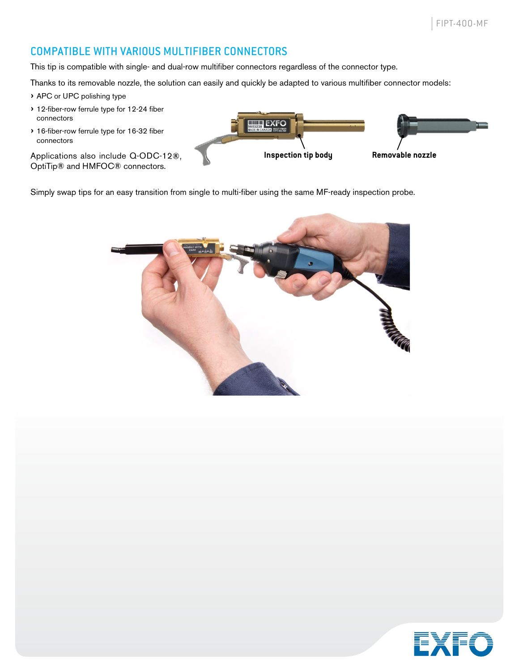## COMPATIBLE WITH VARIOUS MULTIFIBER CONNECTORS

This tip is compatible with single- and dual-row multifiber connectors regardless of the connector type.

Thanks to its removable nozzle, the solution can easily and quickly be adapted to various multifiber connector models:

› APC or UPC polishing type

- > 12-fiber-row ferrule type for 12-24 fiber connectors
- > 16-fiber-row ferrule type for 16-32 fiber connectors

Applications also include Q-ODC-12®, OptiTip® and HMFOC® connectors.



Simply swap tips for an easy transition from single to multi-fiber using the same MF-ready inspection probe.



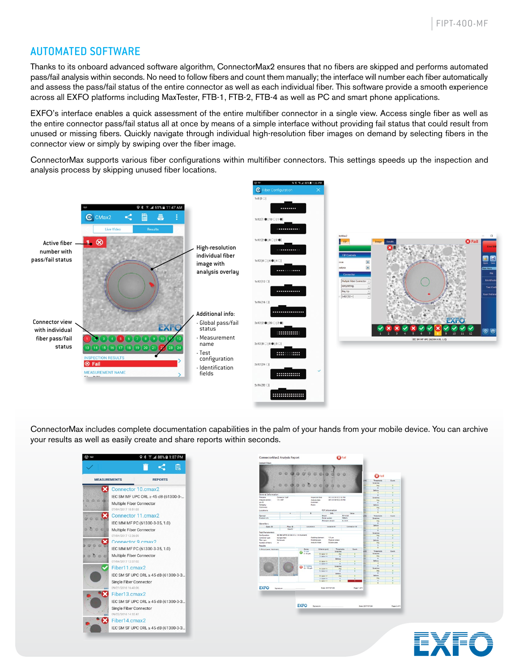## AUTOMATED SOFTWARE

Thanks to its onboard advanced software algorithm, ConnectorMax2 ensures that no fibers are skipped and performs automated pass/fail analysis within seconds. No need to follow fibers and count them manually; the interface will number each fiber automatically and assess the pass/fail status of the entire connector as well as each individual fiber. This software provide a smooth experience across all EXFO platforms including MaxTester, FTB-1, FTB-2, FTB-4 as well as PC and smart phone applications.

EXFO's interface enables a quick assessment of the entire multifiber connector in a single view. Access single fiber as well as the entire connector pass/fail status all at once by means of a simple interface without providing fail status that could result from unused or missing fibers. Quickly navigate through individual high-resolution fiber images on demand by selecting fibers in the connector view or simply by swiping over the fiber image.

ConnectorMax supports various fiber configurations within multifiber connectors. This settings speeds up the inspection and analysis process by skipping unused fiber locations.



ConnectorMax includes complete documentation capabilities in the palm of your hands from your mobile device. You can archive your results as well as easily create and share reports within seconds.